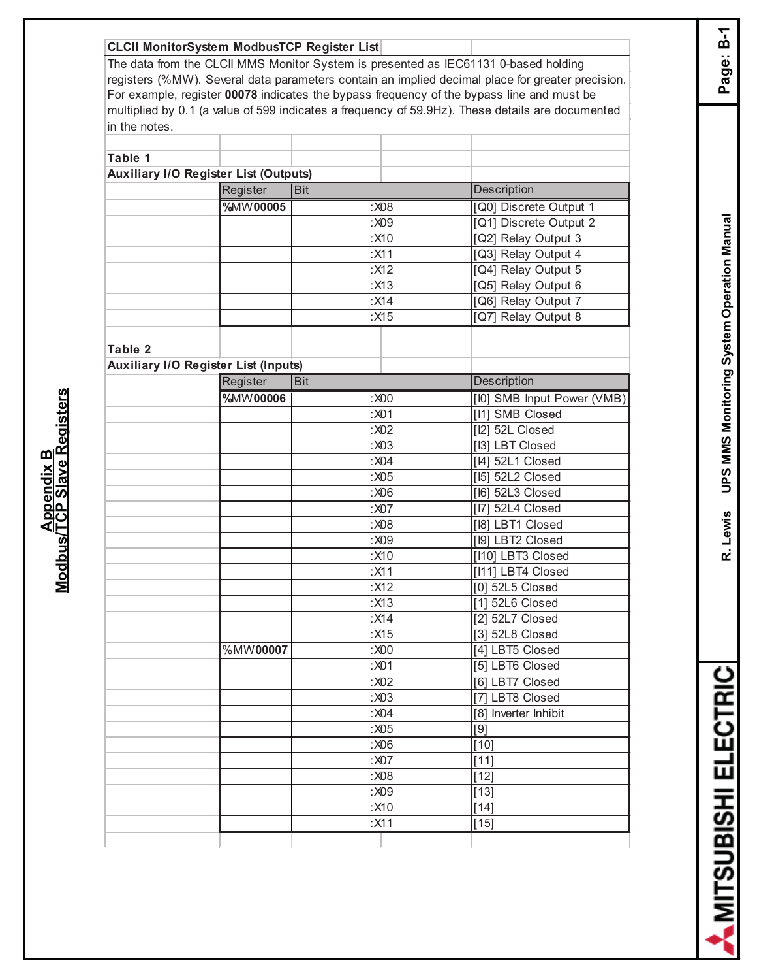## **CLCII MonitorSystem ModbusTCP Register List**

The data from the CLCII MMS Monitor System is presented as IEC61131 0-based holding registers (%MW). Several data parameters contain an implied decimal place for greater precision. For example, register **00078** indicates the bypass frequency of the bypass line and must be multiplied by 0.1 (a value of 599 indicates a frequency of 59.9Hz). These details are documented in the notes.

| Table 1 |                                              |               |                            |
|---------|----------------------------------------------|---------------|----------------------------|
|         | <b>Auxiliary I/O Register List (Outputs)</b> |               |                            |
|         | Register                                     | <b>Bit</b>    | <b>Description</b>         |
|         | %MW00005                                     | : X08         | [Q0] Discrete Output 1     |
|         |                                              | :X09          | [Q1] Discrete Output 2     |
|         |                                              | :X10          | [Q2] Relay Output 3        |
|         |                                              | :X11          | [Q3] Relay Output 4        |
|         |                                              | :X12          | [Q4] Relay Output 5        |
|         |                                              | :X13          | [Q5] Relay Output 6        |
|         |                                              | :X14          | [Q6] Relay Output 7        |
|         |                                              | :X15          | [Q7] Relay Output 8        |
|         |                                              |               |                            |
| Table 2 |                                              |               |                            |
|         | <b>Auxiliary I/O Register List (Inputs)</b>  |               |                            |
|         | Register                                     | <b>Bit</b>    | <b>Description</b>         |
|         | %MW00006                                     | $: \times 00$ | [I0] SMB Input Power (VMB) |
|         |                                              | :X01          | [I1] SMB Closed            |
|         |                                              | :X02          | [I2] 52L Closed            |
|         |                                              | :X03          | [I3] LBT Closed            |
|         |                                              | :X04          | [14] 52L1 Closed           |
|         |                                              | : X05         | [15] 52L2 Closed           |
|         |                                              | :X06          | [16] 52L3 Closed           |
|         |                                              | :X07          | [17] 52L4 Closed           |
|         |                                              | :X08          | [18] LBT1 Closed           |
|         |                                              | :X09          | [I9] LBT2 Closed           |
|         |                                              | :X10          | [I10] LBT3 Closed          |
|         |                                              | :X11          | [I11] LBT4 Closed          |
|         |                                              | :X12          | [0] 52L5 Closed            |
|         |                                              | :X13          | [1] 52L6 Closed            |
|         |                                              | :X14          | [2] $52L7$ Closed          |
|         |                                              | :X15          | [3] 52L8 Closed            |
|         | %MW00007                                     | :X00          | [4] LBT5 Closed            |
|         |                                              | :X01          | [5] LBT6 Closed            |
|         |                                              | :X02          | [6] LBT7 Closed            |
|         |                                              | :X03          | [7] LBT8 Closed            |
|         |                                              | :X04          | [8] Inverter Inhibit       |
|         |                                              | :X05          | $[9]$                      |
|         |                                              | :X06          | $[10]$                     |
|         |                                              | :X07          | $[11]$                     |
|         |                                              | :X08          | $[12]$                     |
|         |                                              | :X09          | $[13]$                     |
|         |                                              | :X10          | $[14]$                     |
|         |                                              | :X11          | $[15]$                     |
|         |                                              |               |                            |

Page: B-1

**R. Lewis UPS MMS Monitoring System Operation Manual Page: B-1 UPS MMS Monitoring System Operation Manual** R. Lewis

**AMITSUBISHI ELECTRIC**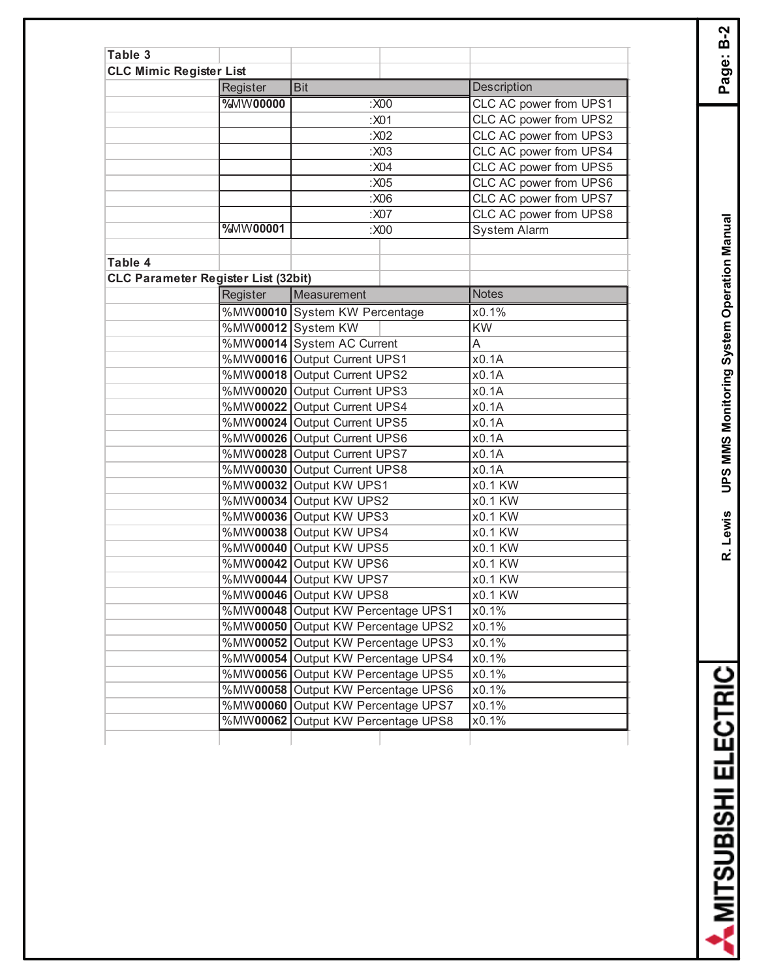| Table 3                        |                                            |                                    |                        |
|--------------------------------|--------------------------------------------|------------------------------------|------------------------|
| <b>CLC Mimic Register List</b> |                                            |                                    |                        |
|                                | Register                                   | <b>Bit</b>                         | Description            |
|                                | %MW00000                                   | $:}X00$                            | CLC AC power from UPS1 |
|                                |                                            | :X01                               | CLC AC power from UPS2 |
|                                |                                            | :X02                               | CLC AC power from UPS3 |
|                                |                                            | :X03                               | CLC AC power from UPS4 |
|                                |                                            | :X04                               | CLC AC power from UPS5 |
|                                |                                            | :X05                               | CLC AC power from UPS6 |
|                                |                                            | :X06                               | CLC AC power from UPS7 |
|                                |                                            | :X07                               | CLC AC power from UPS8 |
|                                | %MW00001                                   | :X00                               | <b>System Alarm</b>    |
|                                |                                            |                                    |                        |
| Table 4                        |                                            |                                    |                        |
|                                | <b>CLC Parameter Register List (32bit)</b> |                                    |                        |
|                                | Register                                   | Measurement                        | <b>Notes</b>           |
|                                |                                            | %MW00010 System KW Percentage      | x0.1%                  |
|                                |                                            | %MW00012 System KW                 | <b>KW</b>              |
|                                |                                            | %MW00014 System AC Current         | A                      |
|                                |                                            | %MW00016 Output Current UPS1       | x0.1A                  |
|                                |                                            | %MW00018 Output Current UPS2       | x0.1A                  |
|                                |                                            | %MW00020 Output Current UPS3       | x0.1A                  |
|                                |                                            | %MW00022 Output Current UPS4       | x0.1A                  |
|                                |                                            | %MW00024 Output Current UPS5       | x0.1A                  |
|                                |                                            | %MW00026 Output Current UPS6       | x0.1A                  |
|                                |                                            | %MW00028 Output Current UPS7       | x0.1A                  |
|                                |                                            | %MW00030 Output Current UPS8       | x0.1A                  |
|                                |                                            | %MW00032 Output KW UPS1            | x0.1 KW                |
|                                |                                            | %MW00034 Output KW UPS2            | x0.1 KW                |
|                                |                                            | %MW00036 Output KW UPS3            | x0.1 KW                |
|                                |                                            | %MW00038 Output KW UPS4            | x0.1 KW                |
|                                |                                            | %MW00040 Output KW UPS5            | x0.1 KW                |
|                                |                                            | %MW00042 Output KW UPS6            | x0.1 KW                |
|                                |                                            | %MW00044 Output KW UPS7            | x0.1 KW                |
|                                |                                            | %MW00046 Output KW UPS8            | x0.1 KW                |
|                                |                                            | %MW00048 Output KW Percentage UPS1 | x0.1%                  |
|                                |                                            | %MW00050 Output KW Percentage UPS2 | x0.1%                  |
|                                |                                            | %MW00052 Output KW Percentage UPS3 | x0.1%                  |
|                                |                                            | %MW00054 Output KW Percentage UPS4 | x0.1%                  |
|                                |                                            | %MW00056 Output KW Percentage UPS5 | x0.1%                  |
|                                |                                            | %MW00058 Output KW Percentage UPS6 | x0.1%                  |
|                                |                                            | %MW00060 Output KW Percentage UPS7 | x0.1%                  |
|                                |                                            | %MW00062 Output KW Percentage UPS8 | x0.1%                  |
|                                |                                            |                                    |                        |

**R. Lewis UPS MMS Monitoring System Operation Manual Page: B-2** R. Lewis UPS MMS Monitoring System Operation Manual

A MITSUBISHI ELECTRIC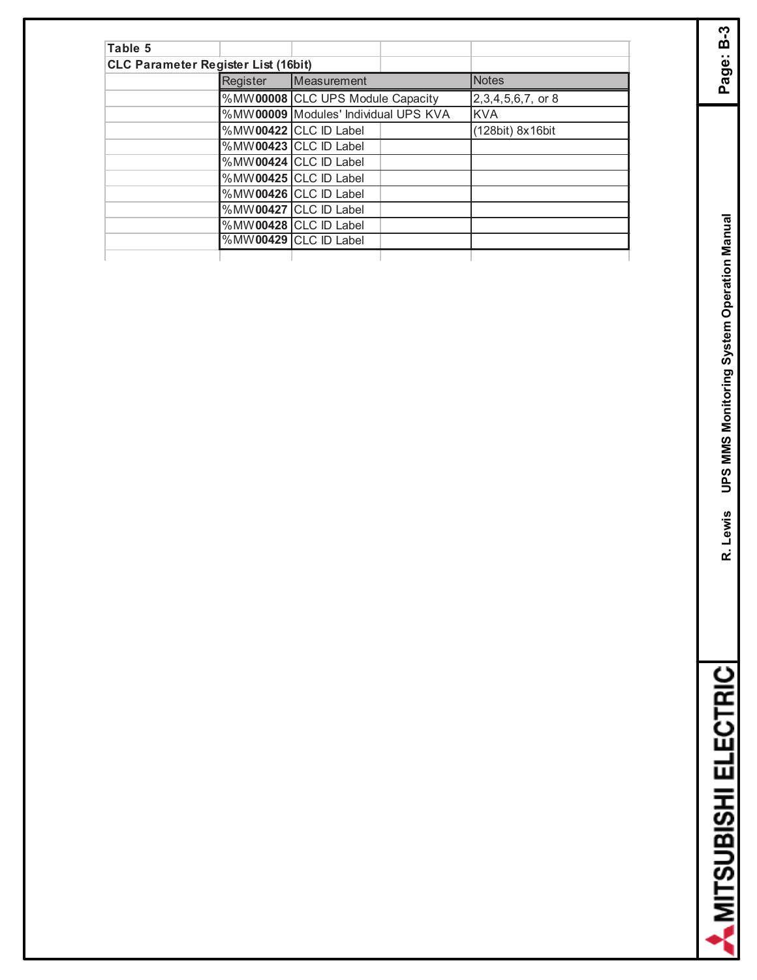| Table 5 |                                            |                                      |                      |
|---------|--------------------------------------------|--------------------------------------|----------------------|
|         | <b>CLC Parameter Register List (16bit)</b> |                                      |                      |
|         | Register                                   | Measurement                          | <b>Notes</b>         |
|         |                                            | %MW00008 CLC UPS Module Capacity     | $2,3,4,5,6,7$ , or 8 |
|         |                                            | %MW00009 Modules' Individual UPS KVA | <b>KVA</b>           |
|         |                                            | %MW00422 CLC ID Label                | (128bit) 8x16bit     |
|         |                                            | %MW00423 CLC ID Label                |                      |
|         |                                            | %MW00424 CLC ID Label                |                      |
|         |                                            | %MW00425 CLC ID Label                |                      |
|         |                                            | %MW00426 CLC ID Label                |                      |
|         |                                            | %MW00427 CLC ID Label                |                      |
|         |                                            | %MW00428 CLC ID Label                |                      |
|         |                                            | %MW00429 CLC ID Label                |                      |
|         |                                            |                                      |                      |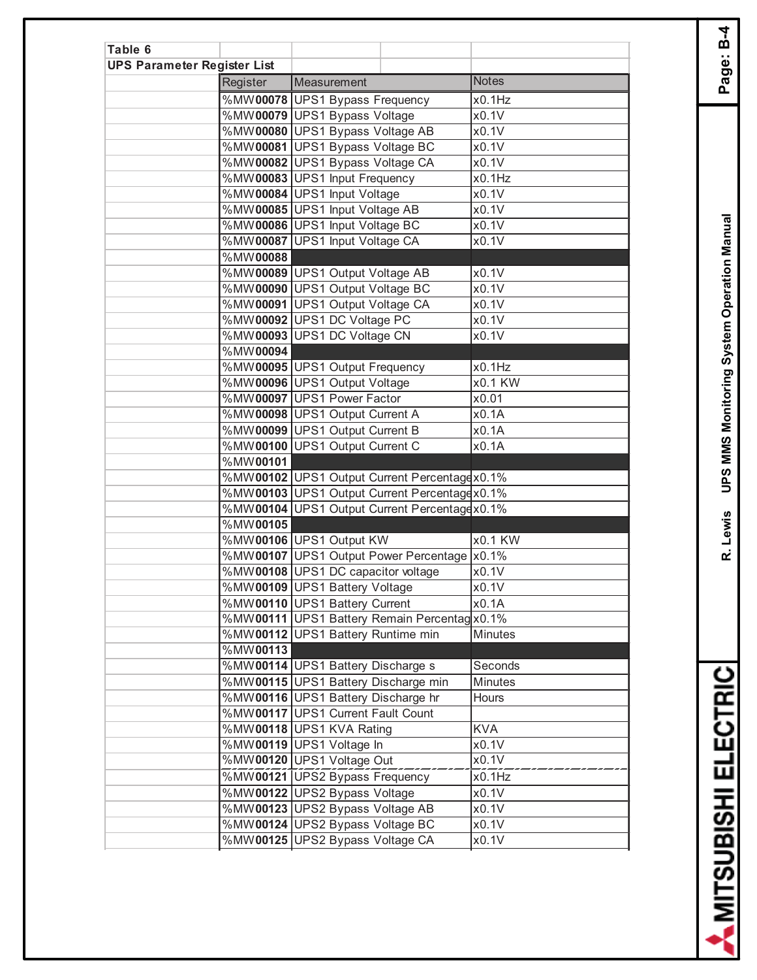| Table 6                            |          |                                                                          |                           |
|------------------------------------|----------|--------------------------------------------------------------------------|---------------------------|
| <b>UPS Parameter Register List</b> |          |                                                                          |                           |
|                                    | Register | Measurement                                                              | <b>Notes</b>              |
|                                    |          | %MW00078 UPS1 Bypass Frequency                                           | x0.1Hz                    |
|                                    |          | %MW00079 UPS1 Bypass Voltage                                             | x0.1V                     |
|                                    |          | %MW00080 UPS1 Bypass Voltage AB                                          | x0.1V                     |
|                                    |          | %MW00081 UPS1 Bypass Voltage BC                                          | x0.1V                     |
|                                    |          | %MW00082 UPS1 Bypass Voltage CA                                          | x0.1V                     |
|                                    |          | %MW00083 UPS1 Input Frequency                                            | x0.1Hz                    |
|                                    |          | %MW00084 UPS1 Input Voltage                                              | x0.1V                     |
|                                    |          | %MW00085 UPS1 Input Voltage AB                                           | x0.1V                     |
|                                    |          | %MW00086 UPS1 Input Voltage BC                                           | x0.1V                     |
|                                    |          | %MW00087 UPS1 Input Voltage CA                                           | x0.1V                     |
|                                    | %MW00088 |                                                                          |                           |
|                                    |          | %MW00089 UPS1 Output Voltage AB                                          | x0.1V                     |
|                                    |          | %MW00090 UPS1 Output Voltage BC                                          | x0.1V                     |
|                                    |          | %MW00091 UPS1 Output Voltage CA                                          | x0.1V                     |
|                                    |          | %MW00092 UPS1 DC Voltage PC                                              | x0.1V                     |
|                                    |          | %MW00093 UPS1 DC Voltage CN                                              | x0.1V                     |
|                                    | %MW00094 |                                                                          |                           |
|                                    |          | %MW00095 UPS1 Output Frequency                                           | x0.1Hz                    |
|                                    |          | %MW00096 UPS1 Output Voltage                                             | x0.1 KW                   |
|                                    |          | %MW00097 UPS1 Power Factor                                               | x0.01                     |
|                                    |          | %MW00098 UPS1 Output Current A                                           | x0.1A                     |
|                                    |          | %MW00099 UPS1 Output Current B                                           | x0.1A                     |
|                                    |          | %MW00100 UPS1 Output Current C                                           | x0.1A                     |
|                                    | %MW00101 |                                                                          |                           |
|                                    |          | %MW00102 UPS1 Output Current Percentagex0.1%                             |                           |
|                                    |          | %MW00103 UPS1 Output Current Percentagex0.1%                             |                           |
|                                    |          | %MW00104 UPS1 Output Current Percentagex0.1%                             |                           |
|                                    | %MW00105 |                                                                          |                           |
|                                    |          | %MW00106 UPS1 Output KW                                                  | x0.1 KW                   |
|                                    |          | %MW00107 UPS1 Output Power Percentage  x0.1%                             |                           |
|                                    |          | %MW00108 UPS1 DC capacitor voltage                                       | x0.1V                     |
|                                    |          | %MW00109 UPS1 Battery Voltage                                            | x0.1V                     |
|                                    |          | %MW00110 UPS1 Battery Current                                            | x0.1A                     |
|                                    |          | %MW00111 UPS1 Battery Remain Percentag x0.1%                             |                           |
|                                    |          | %MW00112 UPS1 Battery Runtime min                                        | Minutes                   |
|                                    | %MW00113 |                                                                          |                           |
|                                    |          | %MW00114 UPS1 Battery Discharge s<br>%MW00115 UPS1 Battery Discharge min | Seconds<br><b>Minutes</b> |
|                                    |          | %MW00116 UPS1 Battery Discharge hr                                       | <b>Hours</b>              |
|                                    |          | %MW00117 UPS1 Current Fault Count                                        |                           |
|                                    |          | %MW00118 UPS1 KVA Rating                                                 | <b>KVA</b>                |
|                                    |          | %MW00119 UPS1 Voltage In                                                 | x0.1V                     |
|                                    |          | %MW00120 UPS1 Voltage Out                                                | x0.1V                     |
|                                    |          | %MW00121 UPS2 Bypass Frequency                                           | x0.1Hz                    |
|                                    |          |                                                                          | x0.1V                     |
|                                    |          | %MW00122 UPS2 Bypass Voltage                                             |                           |
|                                    |          | %MW00123 UPS2 Bypass Voltage AB                                          | x0.1V                     |
|                                    |          | %MW00124 UPS2 Bypass Voltage BC                                          | x0.1V                     |
|                                    |          | %MW00125 UPS2 Bypass Voltage CA                                          | x0.1V                     |

A MITSUBISHI ELECTRIC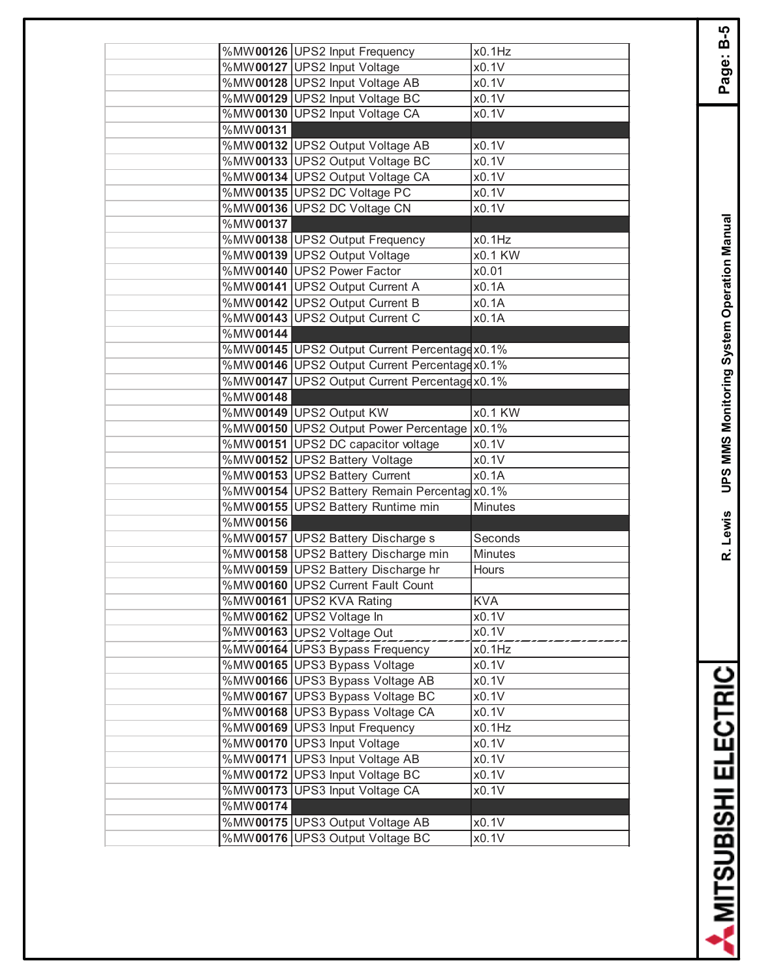|             | %MW00126 UPS2 Input Frequency                | x0.1Hz             |
|-------------|----------------------------------------------|--------------------|
|             | %MW00127 UPS2 Input Voltage                  | x0.1V              |
|             | %MW00128 UPS2 Input Voltage AB               | x0.1V              |
|             | %MW00129 UPS2 Input Voltage BC               | x0.1V              |
|             | %MW00130 UPS2 Input Voltage CA               | x0.1V              |
| %MW00131    |                                              |                    |
|             | %MW00132 UPS2 Output Voltage AB              | x0.1V              |
|             | %MW00133 UPS2 Output Voltage BC              | x0.1V              |
|             | %MW00134 UPS2 Output Voltage CA              | x0.1V              |
|             | %MW00135 UPS2 DC Voltage PC                  | x0.1V              |
|             | %MW00136 UPS2 DC Voltage CN                  | x0.1V              |
| %MW00137    |                                              |                    |
|             | %MW00138 UPS2 Output Frequency               | x0.1Hz             |
|             | %MW00139 UPS2 Output Voltage                 | x0.1 KW            |
|             | %MW00140 UPS2 Power Factor                   | x0.01              |
|             | %MW00141 UPS2 Output Current A               | x0.1A              |
|             | %MW00142 UPS2 Output Current B               | x0.1A              |
|             | %MW00143 UPS2 Output Current C               | x0.1A              |
| %MW00144    |                                              |                    |
|             | %MW00145 UPS2 Output Current Percentagex0.1% |                    |
|             | %MW00146 UPS2 Output Current Percentagex0.1% |                    |
| %MW00147    | UPS2 Output Current Percentagex0.1%          |                    |
| %MW00148    |                                              |                    |
|             | %MW00149 UPS2 Output KW                      | x0.1 KW            |
|             | %MW00150 UPS2 Output Power Percentage  x0.1% |                    |
|             | %MW00151 UPS2 DC capacitor voltage           | $x0.\overline{1V}$ |
|             | %MW00152 UPS2 Battery Voltage                | x0.1V              |
|             | %MW00153 UPS2 Battery Current                | x0.1A              |
|             | %MW00154 UPS2 Battery Remain Percentag x0.1% |                    |
|             | %MW00155 UPS2 Battery Runtime min            | Minutes            |
| %MW00156    |                                              |                    |
|             | %MW00157 UPS2 Battery Discharge s            | Seconds            |
|             | %MW00158 UPS2 Battery Discharge min          | Minutes            |
|             | %MW00159 UPS2 Battery Discharge hr           | Hours              |
|             | %MW00160 UPS2 Current Fault Count            |                    |
|             | %MW00161 UPS2 KVA Rating                     | <b>KVA</b>         |
|             | %MW00162 UPS2 Voltage In                     | x0.1V              |
|             | %MW00163 UPS2 Voltage Out                    | x0.1V              |
|             | %MW00164 UPS3 Bypass Frequency               | x0.1Hz             |
|             | %MW00165 UPS3 Bypass Voltage                 | x0.1V              |
|             | %MW00166 UPS3 Bypass Voltage AB              | x0.1V              |
|             | %MW00167 UPS3 Bypass Voltage BC              | x0.1V              |
|             | %MW00168 UPS3 Bypass Voltage CA              | x0.1V              |
|             | %MW00169 UPS3 Input Frequency                | x0.1Hz             |
|             | %MW00170 UPS3 Input Voltage                  | x0.1V              |
|             | %MW00171 UPS3 Input Voltage AB               | x0.1V              |
|             | %MW00172 UPS3 Input Voltage BC               | x0.1V              |
| %MW00173    | <b>UPS3 Input Voltage CA</b>                 | x0.1V              |
| $%MW$ 00174 |                                              |                    |
|             | %MW00175 UPS3 Output Voltage AB              | x0.1V              |
|             | %MW00176 UPS3 Output Voltage BC              | x0.1V              |
|             |                                              |                    |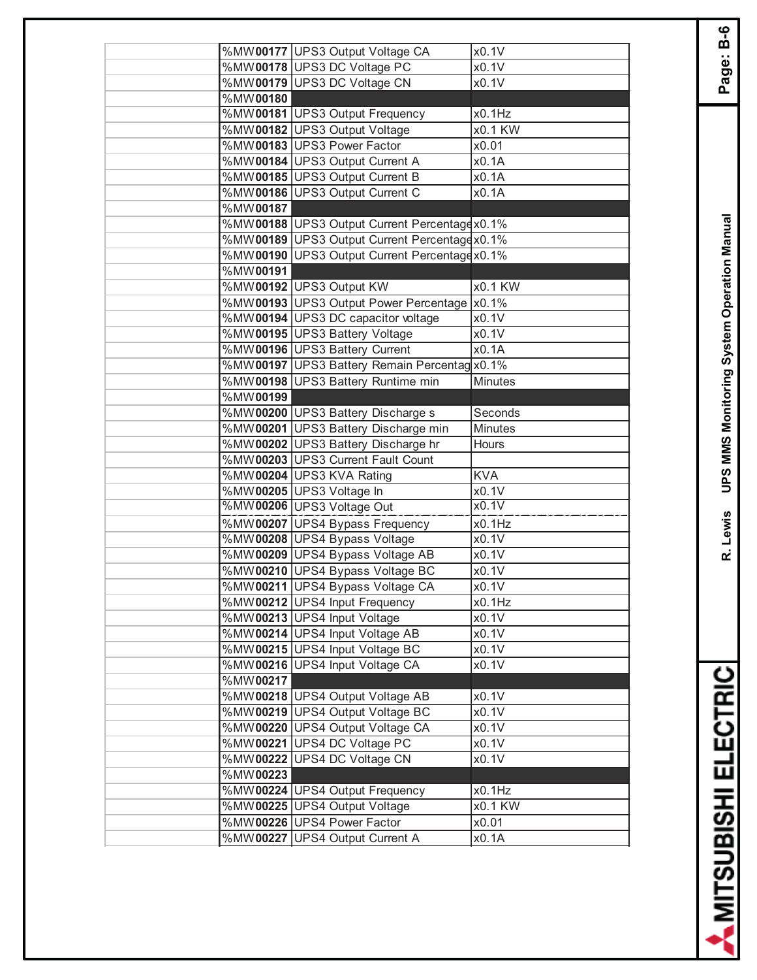|                         | %MW00177 UPS3 Output Voltage CA               | x0.1V      |
|-------------------------|-----------------------------------------------|------------|
|                         | %MW00178 UPS3 DC Voltage PC                   | x0.1V      |
|                         | %MW00179 UPS3 DC Voltage CN                   | x0.1V      |
| %MW00180                |                                               | x0.1Hz     |
|                         | %MW00181 UPS3 Output Frequency                |            |
|                         | %MW00182 UPS3 Output Voltage                  | x0.1 KW    |
|                         | %MW00183 UPS3 Power Factor                    | x0.01      |
|                         | %MW00184 UPS3 Output Current A                | x0.1A      |
|                         | %MW00185 UPS3 Output Current B                | x0.1A      |
|                         | %MW00186 UPS3 Output Current C                | x0.1A      |
| %MW00187                |                                               |            |
|                         | %MW00188 UPS3 Output Current Percentage x0.1% |            |
|                         | %MW00189 UPS3 Output Current Percentagex0.1%  |            |
|                         | %MW00190 UPS3 Output Current Percentage x0.1% |            |
| %MW00191                |                                               |            |
|                         | %MW00192 UPS3 Output KW                       | x0.1 KW    |
|                         | %MW00193 UPS3 Output Power Percentage  x0.1%  |            |
|                         | %MW00194 UPS3 DC capacitor voltage            | x0.1V      |
|                         | %MW00195 UPS3 Battery Voltage                 | x0.1V      |
|                         | %MW00196 UPS3 Battery Current                 | x0.1A      |
|                         | %MW00197 UPS3 Battery Remain Percentag x0.1%  |            |
|                         | %MW00198 UPS3 Battery Runtime min             | Minutes    |
| %MW00199                |                                               |            |
|                         | %MW00200 UPS3 Battery Discharge s             | Seconds    |
|                         | %MW00201 UPS3 Battery Discharge min           | Minutes    |
|                         | %MW00202 UPS3 Battery Discharge hr            | Hours      |
|                         | %MW00203 UPS3 Current Fault Count             |            |
|                         | %MW00204 UPS3 KVA Rating                      | <b>KVA</b> |
|                         | %MW00205 UPS3 Voltage In                      | x0.1V      |
|                         | %MW00206 UPS3 Voltage Out                     | x0.1V      |
|                         | %MW00207 UPS4 Bypass Frequency                | x0.1Hz     |
|                         | %MW00208 UPS4 Bypass Voltage                  | x0.1V      |
|                         | %MW00209 UPS4 Bypass Voltage AB               | x0.1V      |
|                         | %MW00210 UPS4 Bypass Voltage BC               | x0.1V      |
|                         | %MW00211 UPS4 Bypass Voltage CA               | x0.1V      |
|                         | %MW00212 UPS4 Input Frequency                 | x0.1Hz     |
|                         | %MW00213 UPS4 Input Voltage                   | x0.1V      |
|                         | %MW00214 UPS4 Input Voltage AB                | x0.1V      |
|                         | %MW00215 UPS4 Input Voltage BC                | x0.1V      |
|                         | %MW00216 UPS4 Input Voltage CA                | x0.1V      |
| %MW00217                |                                               |            |
|                         | %MW00218 UPS4 Output Voltage AB               | x0.1V      |
|                         | %MW00219 UPS4 Output Voltage BC               | x0.1V      |
|                         | %MW00220 UPS4 Output Voltage CA               | x0.1V      |
| $\overline{\%}$ MW00221 | <b>UPS4 DC Voltage PC</b>                     | x0.1V      |
| %MW00222                | <b>UPS4 DC Voltage CN</b>                     | x0.1V      |
| %MW00223                |                                               |            |
|                         | %MW00224 UPS4 Output Frequency                | x0.1Hz     |
|                         | %MW00225 UPS4 Output Voltage                  | x0.1 KW    |
|                         | %MW00226 UPS4 Power Factor                    | x0.01      |
|                         | %MW00227 UPS4 Output Current A                | x0.1A      |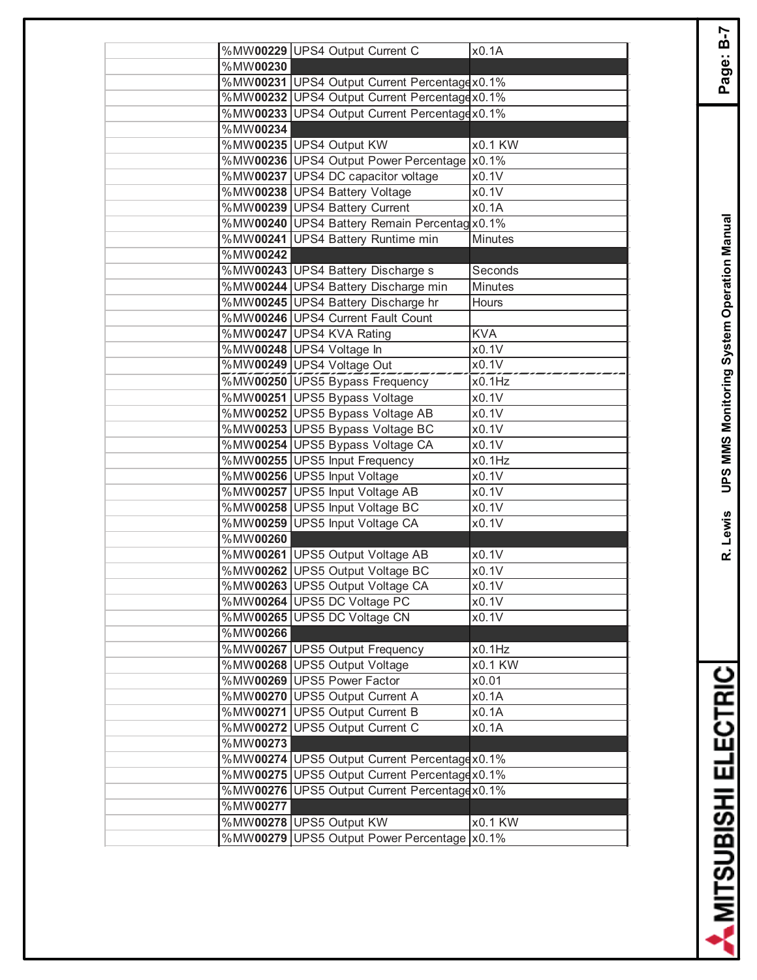|          | %MW00229 UPS4 Output Current C                             | x0.1A          |
|----------|------------------------------------------------------------|----------------|
| %MW00230 |                                                            |                |
|          | %MW00231 UPS4 Output Current Percentagex0.1%               |                |
|          | %MW00232 UPS4 Output Current Percentagex0.1%               |                |
|          | %MW00233 UPS4 Output Current Percentagex0.1%               |                |
| %MW00234 |                                                            |                |
|          | %MW00235 UPS4 Output KW                                    | x0.1 KW        |
|          | %MW00236 UPS4 Output Power Percentage x0.1%                |                |
|          | %MW00237 UPS4 DC capacitor voltage                         | x0.1V          |
|          | %MW00238 UPS4 Battery Voltage                              | x0.1V          |
|          | %MW00239 UPS4 Battery Current                              | x0.1A          |
|          | %MW00240 UPS4 Battery Remain Percentag x0.1%               |                |
|          | %MW00241 UPS4 Battery Runtime min                          | Minutes        |
| %MW00242 |                                                            |                |
|          | %MW00243 UPS4 Battery Discharge s                          | Seconds        |
|          | %MW00244 UPS4 Battery Discharge min                        | Minutes        |
|          | %MW00245 UPS4 Battery Discharge hr                         | Hours          |
|          | %MW00246 UPS4 Current Fault Count                          |                |
|          | %MW00247 UPS4 KVA Rating                                   | <b>KVA</b>     |
|          | %MW00248 UPS4 Voltage In                                   | x0.1V          |
|          | %MW00249 UPS4 Voltage Out                                  | x0.1V          |
|          | %MW00250 UPS5 Bypass Frequency                             | x0.1Hz         |
|          | %MW00251 UPS5 Bypass Voltage                               | x0.1V          |
|          | %MW00252 UPS5 Bypass Voltage AB                            | x0.1V          |
|          | %MW00253 UPS5 Bypass Voltage BC                            | x0.1V          |
|          | %MW00254 UPS5 Bypass Voltage CA                            | x0.1V          |
|          | %MW00255 UPS5 Input Frequency                              | x0.1Hz         |
|          | %MW00256 UPS5 Input Voltage                                | x0.1V          |
|          | %MW00257 UPS5 Input Voltage AB                             | x0.1V          |
|          | %MW00258 UPS5 Input Voltage BC                             | x0.1V          |
|          | %MW00259 UPS5 Input Voltage CA                             | x0.1V          |
| %MW00260 |                                                            |                |
|          | %MW00261 UPS5 Output Voltage AB                            | x0.1V          |
|          | %MW00262 UPS5 Output Voltage BC                            | x0.1V          |
|          | %MW00263 UPS5 Output Voltage CA                            | x0.1V          |
|          | %MW00264 UPS5 DC Voltage PC<br>%MW00265 UPS5 DC Voltage CN | x0.1V<br>x0.1V |
| %MW00266 |                                                            |                |
|          | %MW00267 UPS5 Output Frequency                             | x0.1Hz         |
|          | %MW00268 UPS5 Output Voltage                               | x0.1 KW        |
|          | %MW00269 UPS5 Power Factor                                 | x0.01          |
|          | %MW00270 UPS5 Output Current A                             | x0.1A          |
|          | %MW00271 UPS5 Output Current B                             | x0.1A          |
|          | %MW00272 UPS5 Output Current C                             | x0.1A          |
| %MW00273 |                                                            |                |
|          | %MW00274 UPS5 Output Current Percentagex0.1%               |                |
|          | %MW00275 UPS5 Output Current Percentagex0.1%               |                |
|          | %MW00276 UPS5 Output Current Percentage x0.1%              |                |
| %MW00277 |                                                            |                |
|          | %MW00278 UPS5 Output KW                                    | x0.1 KW        |
|          | %MW00279 UPS5 Output Power Percentage x0.1%                |                |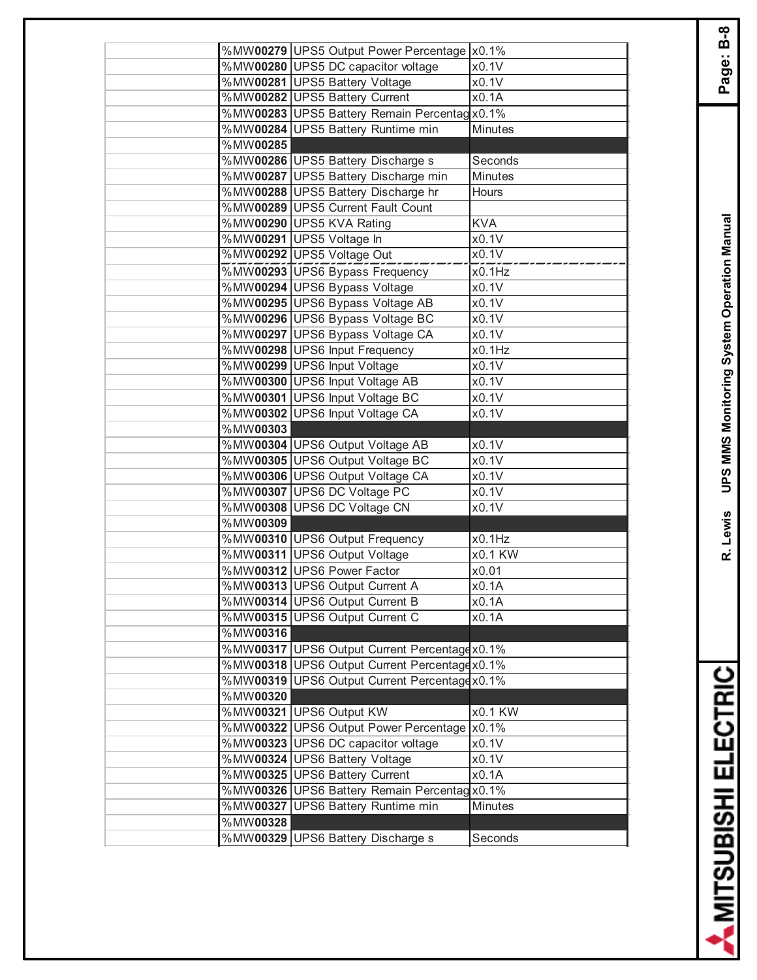|          | %MW00279 UPS5 Output Power Percentage  x0.1%  |                      |
|----------|-----------------------------------------------|----------------------|
|          | %MW00280 UPS5 DC capacitor voltage            | x0.1V                |
|          | %MW00281 UPS5 Battery Voltage                 | x0.1V                |
|          | %MW00282 UPS5 Battery Current                 | x0.1A                |
|          | %MW00283 UPS5 Battery Remain Percentag x0.1%  |                      |
|          | %MW00284 UPS5 Battery Runtime min             | <b>Minutes</b>       |
| %MW00285 |                                               |                      |
|          | %MW00286 UPS5 Battery Discharge s             | Seconds              |
|          | %MW00287 UPS5 Battery Discharge min           | Minutes              |
|          | %MW00288 UPS5 Battery Discharge hr            | Hours                |
|          | %MW00289 UPS5 Current Fault Count             |                      |
|          | %MW00290 UPS5 KVA Rating                      | <b>KVA</b>           |
|          | %MW00291 UPS5 Voltage In                      | x0.1V                |
|          | %MW00292 UPS5 Voltage Out                     | x0.1V                |
|          | %MW00293 UPS6 Bypass Frequency                | x0.1Hz               |
|          | %MW00294 UPS6 Bypass Voltage                  | x0.1V                |
|          | %MW00295 UPS6 Bypass Voltage AB               | x0.1V                |
|          | %MW00296 UPS6 Bypass Voltage BC               | x0.1V                |
|          | %MW00297 UPS6 Bypass Voltage CA               | x0.1V                |
|          | %MW00298 UPS6 Input Frequency                 | x0.1Hz               |
|          | %MW00299 UPS6 Input Voltage                   | x0.1V                |
|          | %MW00300 UPS6 Input Voltage AB                | x0.1V                |
|          | %MW00301 UPS6 Input Voltage BC                | x0.1V                |
|          | %MW00302 UPS6 Input Voltage CA                | x0.1V                |
| %MW00303 |                                               |                      |
|          | %MW00304 UPS6 Output Voltage AB               | x0.1V                |
|          | %MW00305 UPS6 Output Voltage BC               | x0.1V                |
|          | %MW00306 UPS6 Output Voltage CA               | x0.1V                |
|          | %MW00307 UPS6 DC Voltage PC                   | x0.1V                |
|          | %MW00308 UPS6 DC Voltage CN                   | x0.1V                |
| %MW00309 |                                               |                      |
|          | %MW00310 UPS6 Output Frequency                | x0.1Hz               |
|          | %MW00311 UPS6 Output Voltage                  | $\overline{X0.1}$ KW |
|          | %MW00312 UPS6 Power Factor                    | x0.01                |
|          | %MW00313 UPS6 Output Current A                | x0.1A                |
|          | %MW00314 UPS6 Output Current B                | x0.1A                |
|          | %MW00315 UPS6 Output Current C                | x0.1A                |
| %MW00316 |                                               |                      |
|          | %MW00317 UPS6 Output Current Percentage x0.1% |                      |
|          | %MW00318 UPS6 Output Current Percentagex0.1%  |                      |
| %MW00319 | UPS6 Output Current Percentage x0.1%          |                      |
| %MW00320 |                                               |                      |
|          | %MW00321 UPS6 Output KW                       | x0.1 KW              |
|          | %MW00322 UPS6 Output Power Percentage   x0.1% |                      |
|          | %MW00323 UPS6 DC capacitor voltage            | x0.1V                |
|          | %MW00324 UPS6 Battery Voltage                 | x0.1V                |
|          | %MW00325 UPS6 Battery Current                 | x0.1A                |
|          | %MW00326 UPS6 Battery Remain Percentag x0.1%  |                      |
| %MW00327 | <b>UPS6 Battery Runtime min</b>               | Minutes              |
| %MW00328 |                                               |                      |
|          | %MW00329 UPS6 Battery Discharge s             | Seconds              |
|          |                                               |                      |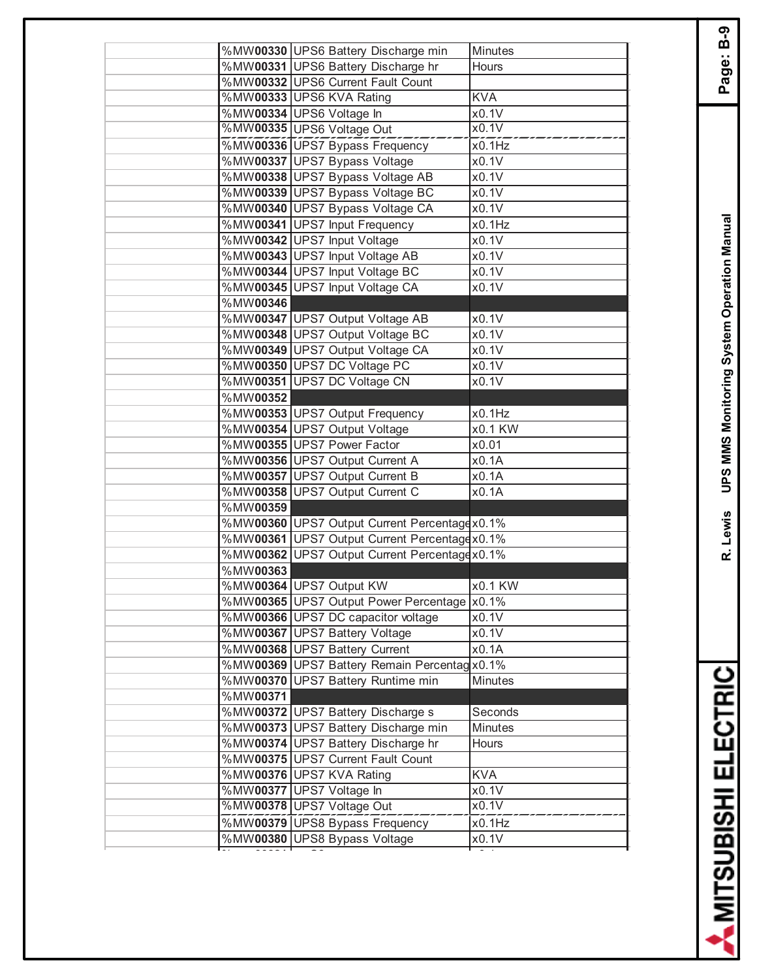|          | %MW00330 UPS6 Battery Discharge min           | Minutes        |
|----------|-----------------------------------------------|----------------|
|          | %MW00331 UPS6 Battery Discharge hr            | Hours          |
|          | %MW00332 UPS6 Current Fault Count             |                |
|          | %MW00333 UPS6 KVA Rating                      | <b>KVA</b>     |
|          | %MW00334 UPS6 Voltage In                      | x0.1V          |
|          | %MW00335 UPS6 Voltage Out                     | x0.1V          |
|          | %MW00336 UPS7 Bypass Frequency                | x0.1Hz         |
|          | %MW00337 UPS7 Bypass Voltage                  | x0.1V          |
|          | %MW00338 UPS7 Bypass Voltage AB               | x0.1V          |
|          | %MW00339 UPS7 Bypass Voltage BC               | x0.1V          |
|          | %MW00340 UPS7 Bypass Voltage CA               | x0.1V          |
|          | %MW00341 UPS7 Input Frequency                 | x0.1Hz         |
|          | %MW00342 UPS7 Input Voltage                   | x0.1V          |
|          | %MW00343 UPS7 Input Voltage AB                | x0.1V          |
|          | %MW00344 UPS7 Input Voltage BC                | x0.1V          |
|          | %MW00345 UPS7 Input Voltage CA                | x0.1V          |
| %MW00346 |                                               |                |
|          | %MW00347 UPS7 Output Voltage AB               | x0.1V          |
|          | %MW00348 UPS7 Output Voltage BC               | x0.1V          |
|          | %MW00349 UPS7 Output Voltage CA               | x0.1V          |
|          | %MW00350 UPS7 DC Voltage PC                   | x0.1V          |
|          | %MW00351 UPS7 DC Voltage CN                   | x0.1V          |
| %MW00352 |                                               |                |
|          | %MW00353 UPS7 Output Frequency                | x0.1Hz         |
|          | %MW00354 UPS7 Output Voltage                  | x0.1 KW        |
|          | %MW00355 UPS7 Power Factor                    | x0.01          |
|          | %MW00356 UPS7 Output Current A                | x0.1A          |
|          | %MW00357 UPS7 Output Current B                | x0.1A          |
|          | %MW00358 UPS7 Output Current C                | x0.1A          |
| %MW00359 |                                               |                |
|          | %MW00360 UPS7 Output Current Percentage x0.1% |                |
|          | %MW00361 UPS7 Output Current Percentagex0.1%  |                |
|          | %MW00362 UPS7 Output Current Percentagex0.1%  |                |
| %MW00363 |                                               |                |
|          | %MW00364 UPS7 Output KW                       | x0.1 KW        |
|          | %MW00365 UPS7 Output Power Percentage  x0.1%  |                |
|          | %MW00366 UPS7 DC capacitor voltage            | x0.1V          |
|          | %MW00367 UPS7 Battery Voltage                 | x0.1V          |
|          | %MW00368 UPS7 Battery Current                 | x0.1A          |
|          | %MW00369 UPS7 Battery Remain Percentag x0.1%  |                |
|          | %MW00370 UPS7 Battery Runtime min             | Minutes        |
| %MW00371 |                                               |                |
|          | %MW00372 UPS7 Battery Discharge s             | Seconds        |
|          | %MW00373 UPS7 Battery Discharge min           | <b>Minutes</b> |
|          | %MW00374 UPS7 Battery Discharge hr            | Hours          |
|          | %MW00375 UPS7 Current Fault Count             |                |
|          | %MW00376 UPS7 KVA Rating                      | <b>KVA</b>     |
|          | %MW00377 UPS7 Voltage In                      | x0.1V          |
|          | %MW00378 UPS7 Voltage Out                     | x0.1V          |
|          | %MW00379 UPS8 Bypass Frequency                | x0.1Hz         |
|          | %MW00380 UPS8 Bypass Voltage                  | x0.1V          |
|          |                                               |                |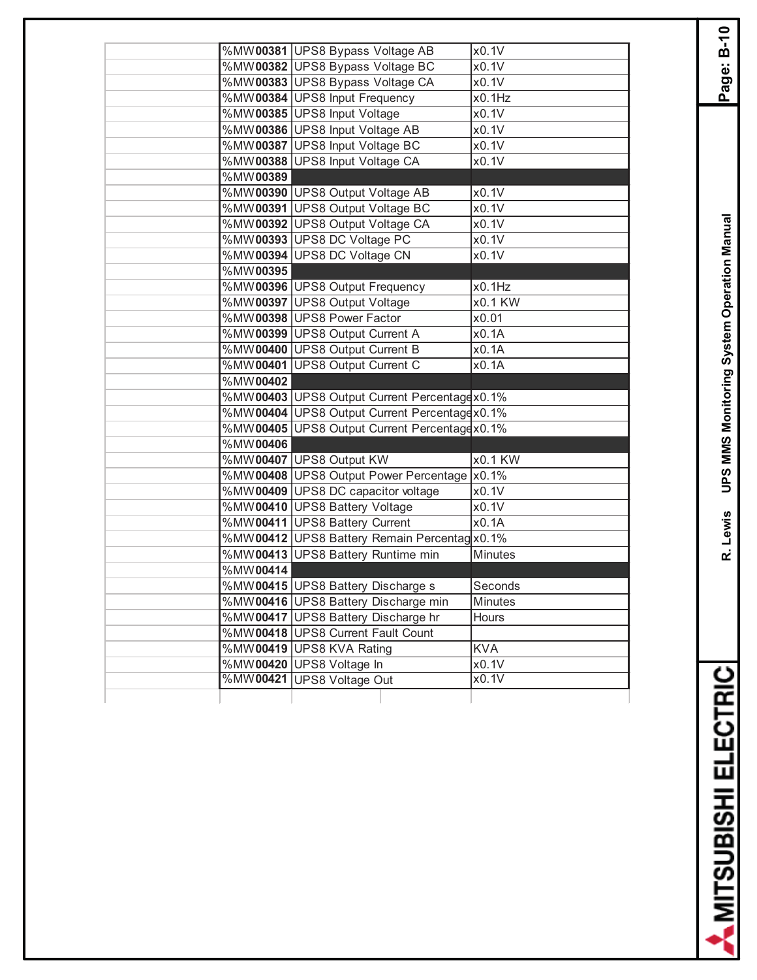| %MW00381 UPS8 Bypass Voltage AB<br>x0.1V<br>%MW00382 UPS8 Bypass Voltage BC<br>x0.1V<br>%MW00383 UPS8 Bypass Voltage CA<br>x0.1V |  |
|----------------------------------------------------------------------------------------------------------------------------------|--|
|                                                                                                                                  |  |
|                                                                                                                                  |  |
|                                                                                                                                  |  |
| %MW00384 UPS8 Input Frequency<br>x0.1Hz                                                                                          |  |
| %MW00385 UPS8 Input Voltage<br>x0.1V                                                                                             |  |
| %MW00386 UPS8 Input Voltage AB<br>x0.1V                                                                                          |  |
| %MW00387 UPS8 Input Voltage BC<br>x0.1V                                                                                          |  |
| %MW00388 UPS8 Input Voltage CA<br>x0.1V                                                                                          |  |
| %MW00389                                                                                                                         |  |
| x0.1V<br>%MW00390 UPS8 Output Voltage AB                                                                                         |  |
| %MW00391 UPS8 Output Voltage BC<br>x0.1V                                                                                         |  |
| %MW00392 UPS8 Output Voltage CA<br>x0.1V                                                                                         |  |
| %MW00393 UPS8 DC Voltage PC<br>x0.1V                                                                                             |  |
| %MW00394 UPS8 DC Voltage CN<br>x0.1V                                                                                             |  |
| %MW00395                                                                                                                         |  |
| %MW00396 UPS8 Output Frequency<br>x0.1Hz                                                                                         |  |
| %MW00397 UPS8 Output Voltage<br>x0.1 KW                                                                                          |  |
| %MW00398 UPS8 Power Factor<br>x0.01                                                                                              |  |
| %MW00399 UPS8 Output Current A<br>x0.1A                                                                                          |  |
| %MW00400 UPS8 Output Current B<br>x0.1A                                                                                          |  |
| %MW00401 UPS8 Output Current C<br>x0.1A                                                                                          |  |
| %MW00402                                                                                                                         |  |
| %MW00403 UPS8 Output Current Percentagex0.1%                                                                                     |  |
| %MW00404 UPS8 Output Current Percentagex0.1%                                                                                     |  |
| %MW00405 UPS8 Output Current Percentagex0.1%                                                                                     |  |
| %MW00406                                                                                                                         |  |
| %MW00407 UPS8 Output KW<br>x0.1 KW                                                                                               |  |
| %MW00408 UPS8 Output Power Percentage x0.1%                                                                                      |  |
| %MW00409 UPS8 DC capacitor voltage<br>x0.1V                                                                                      |  |
| %MW00410 UPS8 Battery Voltage<br>x0.1V                                                                                           |  |
| %MW00411 UPS8 Battery Current<br>x0.1A                                                                                           |  |
| %MW00412 UPS8 Battery Remain Percentag x0.1%                                                                                     |  |
| %MW00413 UPS8 Battery Runtime min<br>Minutes                                                                                     |  |
| %MW00414                                                                                                                         |  |
| %MW00415 UPS8 Battery Discharge s<br>Seconds                                                                                     |  |
| %MW00416 UPS8 Battery Discharge min<br>Minutes                                                                                   |  |
| %MW00417 UPS8 Battery Discharge hr<br>Hours                                                                                      |  |
| %MW00418 UPS8 Current Fault Count                                                                                                |  |
| %MW00419 UPS8 KVA Rating<br><b>KVA</b>                                                                                           |  |
|                                                                                                                                  |  |
| %MW00420 UPS8 Voltage In<br>x0.1V                                                                                                |  |
| %MW00421<br><b>UPS8 Voltage Out</b><br>x0.1V                                                                                     |  |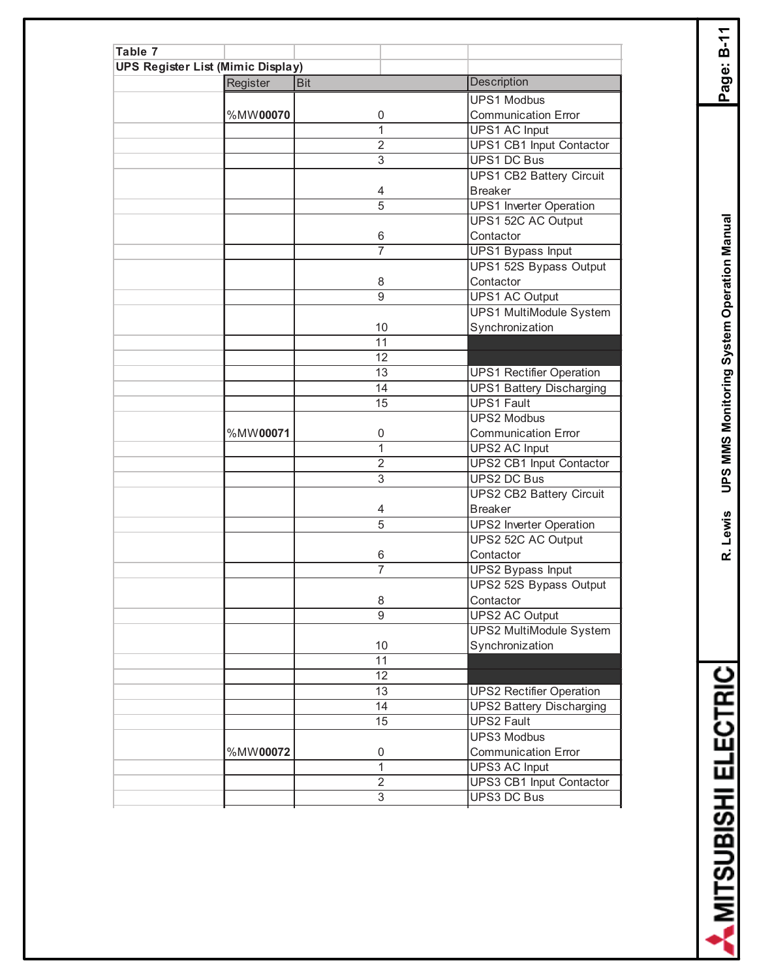| Table 7                                  |          |                |                                 |
|------------------------------------------|----------|----------------|---------------------------------|
| <b>UPS Register List (Mimic Display)</b> |          |                |                                 |
|                                          | Register | <b>Bit</b>     | <b>Description</b>              |
|                                          |          |                | <b>UPS1 Modbus</b>              |
|                                          | %MW00070 | 0              | <b>Communication Error</b>      |
|                                          |          | 1              | <b>UPS1 AC Input</b>            |
|                                          |          | $\overline{2}$ | <b>UPS1 CB1 Input Contactor</b> |
|                                          |          | 3              | <b>UPS1 DC Bus</b>              |
|                                          |          |                | <b>UPS1 CB2 Battery Circuit</b> |
|                                          |          | 4              | <b>Breaker</b>                  |
|                                          |          | $\overline{5}$ | <b>UPS1</b> Inverter Operation  |
|                                          |          |                | UPS1 52C AC Output              |
|                                          |          | 6              | Contactor                       |
|                                          |          | 7              | <b>UPS1 Bypass Input</b>        |
|                                          |          |                | UPS1 52S Bypass Output          |
|                                          |          | 8              | Contactor                       |
|                                          |          | 9              | <b>UPS1 AC Output</b>           |
|                                          |          |                | <b>UPS1 MultiModule System</b>  |
|                                          |          | 10             | Synchronization                 |
|                                          |          | 11             |                                 |
|                                          |          | 12             |                                 |
|                                          |          | 13             | <b>UPS1 Rectifier Operation</b> |
|                                          |          | 14             | <b>UPS1 Battery Discharging</b> |
|                                          |          | 15             | <b>UPS1 Fault</b>               |
|                                          |          |                | <b>UPS2 Modbus</b>              |
|                                          | %MW00071 | 0              | <b>Communication Error</b>      |
|                                          |          | 1              | <b>UPS2 AC Input</b>            |
|                                          |          | $\overline{2}$ | <b>UPS2 CB1 Input Contactor</b> |
|                                          |          | 3              | <b>UPS2 DC Bus</b>              |
|                                          |          |                | <b>UPS2 CB2 Battery Circuit</b> |
|                                          |          | 4              | <b>Breaker</b>                  |
|                                          |          | $\overline{5}$ | <b>UPS2</b> Inverter Operation  |
|                                          |          |                | UPS2 52C AC Output              |
|                                          |          | 6              | Contactor                       |
|                                          |          | $\overline{7}$ | UPS2 Bypass Input               |
|                                          |          |                | UPS2 52S Bypass Output          |
|                                          |          | 8              | Contactor                       |
|                                          |          | $\overline{9}$ | <b>UPS2 AC Output</b>           |
|                                          |          |                | <b>UPS2 MultiModule System</b>  |
|                                          |          | 10             | Synchronization                 |
|                                          |          | 11             |                                 |
|                                          |          | 12             |                                 |
|                                          |          | 13             | <b>UPS2 Rectifier Operation</b> |
|                                          |          | 14             | <b>UPS2 Battery Discharging</b> |
|                                          |          | 15             | <b>UPS2 Fault</b>               |
|                                          |          |                | <b>UPS3 Modbus</b>              |
|                                          | %MW00072 | 0              | <b>Communication Error</b>      |
|                                          |          | 1              | <b>UPS3 AC Input</b>            |
|                                          |          | $\overline{2}$ | UPS3 CB1 Input Contactor        |
|                                          |          | $\overline{3}$ | <b>UPS3 DC Bus</b>              |
|                                          |          |                |                                 |

**R. Lewis UPS MMS Monitoring System Operation Manual Page: B-11** R. Lewis UPS MMS Monitoring System Operation Manual

Page: B-11

A MITSUBISHI ELECTRIC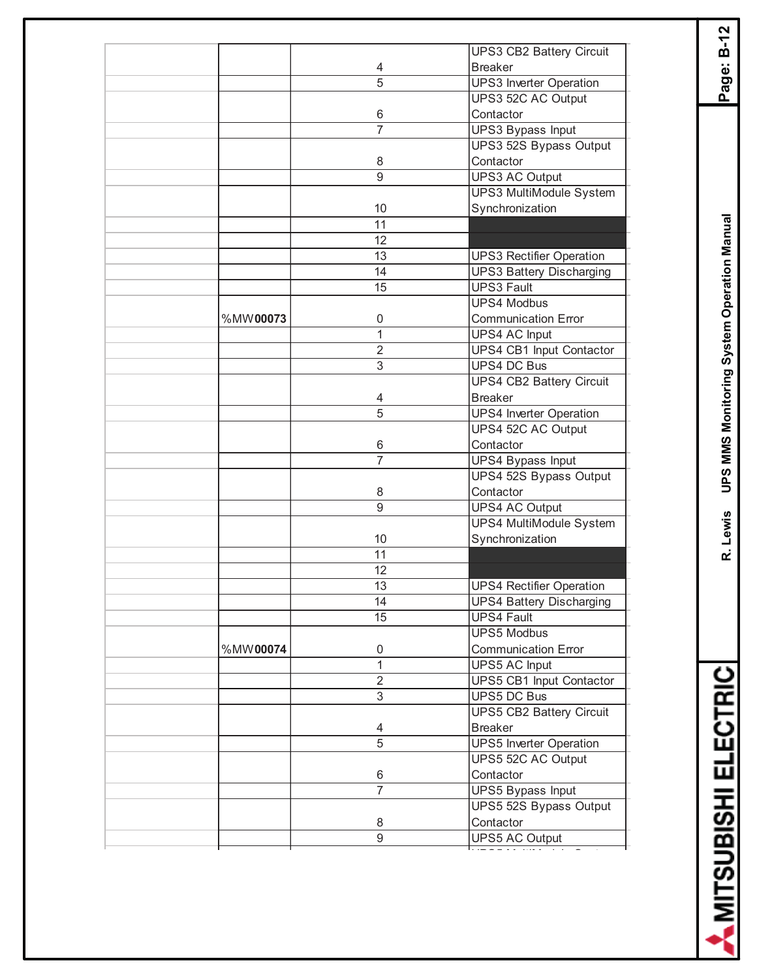|          |                | <b>UPS3 CB2 Battery Circuit</b> |
|----------|----------------|---------------------------------|
|          | 4              | <b>Breaker</b>                  |
|          | 5              | <b>UPS3</b> Inverter Operation  |
|          |                | UPS3 52C AC Output              |
|          | 6              | Contactor                       |
|          | $\overline{7}$ | <b>UPS3 Bypass Input</b>        |
|          |                | UPS3 52S Bypass Output          |
|          | 8              | Contactor                       |
|          | $\overline{9}$ | <b>UPS3 AC Output</b>           |
|          |                | <b>UPS3 MultiModule System</b>  |
|          | 10             | Synchronization                 |
|          | 11             |                                 |
|          | 12             |                                 |
|          | 13             | <b>UPS3 Rectifier Operation</b> |
|          | 14             | <b>UPS3 Battery Discharging</b> |
|          | 15             | <b>UPS3 Fault</b>               |
|          |                | <b>UPS4 Modbus</b>              |
| %MW00073 | 0              | <b>Communication Error</b>      |
|          | $\mathbf{1}$   | <b>UPS4 AC Input</b>            |
|          | $\overline{2}$ | <b>UPS4 CB1 Input Contactor</b> |
|          | 3              | <b>UPS4 DC Bus</b>              |
|          |                | <b>UPS4 CB2 Battery Circuit</b> |
|          | 4              | <b>Breaker</b>                  |
|          | $\overline{5}$ | <b>UPS4 Inverter Operation</b>  |
|          |                | UPS4 52C AC Output              |
|          | 6              | Contactor                       |
|          | $\overline{7}$ | <b>UPS4 Bypass Input</b>        |
|          |                | UPS4 52S Bypass Output          |
|          | 8              | Contactor                       |
|          | 9              | <b>UPS4 AC Output</b>           |
|          |                | UPS4 MultiModule System         |
|          | 10             | Synchronization                 |
|          | 11             |                                 |
|          | 12             |                                 |
|          | 13             | <b>UPS4 Rectifier Operation</b> |
|          | 14             | <b>UPS4 Battery Discharging</b> |
|          | 15             | <b>UPS4 Fault</b>               |
|          |                | <b>UPS5 Modbus</b>              |
| %MW00074 | 0              | <b>Communication Error</b>      |
|          | $\mathbf{1}$   | <b>UPS5 AC Input</b>            |
|          | $\overline{2}$ | <b>UPS5 CB1 Input Contactor</b> |
|          | $\overline{3}$ | <b>UPS5 DC Bus</b>              |
|          |                | <b>UPS5 CB2 Battery Circuit</b> |
|          | 4              | <b>Breaker</b>                  |
|          | 5              | <b>UPS5</b> Inverter Operation  |
|          |                | UPS5 52C AC Output              |
|          | 6              | Contactor                       |
|          | $\overline{7}$ | <b>UPS5 Bypass Input</b>        |
|          |                | UPS5 52S Bypass Output          |
|          | 8              | Contactor                       |
|          | 9              |                                 |
|          |                | UPS5 AC Output                  |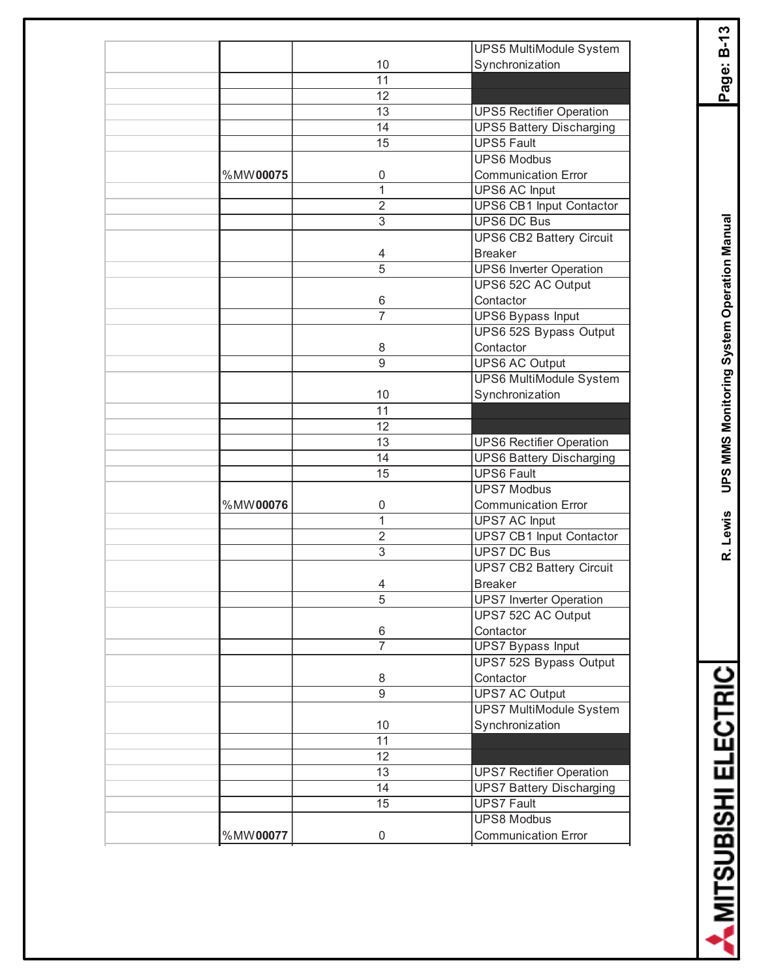|          |                | UPS5 MultiModule System         |
|----------|----------------|---------------------------------|
|          | 10             | Synchronization                 |
|          | 11             |                                 |
|          | 12             |                                 |
|          | 13             | <b>UPS5 Rectifier Operation</b> |
|          | 14             | <b>UPS5 Battery Discharging</b> |
|          | 15             | <b>UPS5 Fault</b>               |
|          |                | <b>UPS6 Modbus</b>              |
| %MW00075 | 0              | <b>Communication Error</b>      |
|          | 1              | UPS6 AC Input                   |
|          | $\overline{2}$ | UPS6 CB1 Input Contactor        |
|          | 3              | <b>UPS6 DC Bus</b>              |
|          |                | <b>UPS6 CB2 Battery Circuit</b> |
|          |                | <b>Breaker</b>                  |
|          | 4              |                                 |
|          | $\overline{5}$ | <b>UPS6 Inverter Operation</b>  |
|          |                | UPS6 52C AC Output              |
|          | 6              | Contactor                       |
|          | $\overline{7}$ | <b>UPS6 Bypass Input</b>        |
|          |                | UPS6 52S Bypass Output          |
|          | 8              | Contactor                       |
|          | 9              | <b>UPS6 AC Output</b>           |
|          |                | <b>UPS6 MultiModule System</b>  |
|          | 10             | Synchronization                 |
|          | 11             |                                 |
|          | 12             |                                 |
|          |                |                                 |
|          | 13             | <b>UPS6 Rectifier Operation</b> |
|          | 14             | <b>UPS6 Battery Discharging</b> |
|          | 15             | <b>UPS6 Fault</b>               |
|          |                | <b>UPS7 Modbus</b>              |
| %MW00076 | 0              | <b>Communication Error</b>      |
|          | 1              | <b>UPS7 AC Input</b>            |
|          | $\overline{2}$ | UPS7 CB1 Input Contactor        |
|          | 3              | <b>UPS7 DC Bus</b>              |
|          |                | <b>UPS7 CB2 Battery Circuit</b> |
|          | 4              | <b>Breaker</b>                  |
|          | 5              | <b>UPS7</b> Inverter Operation  |
|          |                | UPS7 52C AC Output              |
|          | 6              | Contactor                       |
|          | $\overline{7}$ | <b>UPS7 Bypass Input</b>        |
|          |                |                                 |
|          |                | UPS7 52S Bypass Output          |
|          | 8              | Contactor                       |
|          | 9              | <b>UPS7 AC Output</b>           |
|          |                | <b>UPS7 MultiModule System</b>  |
|          | 10             | Synchronization                 |
|          | 11             |                                 |
|          | 12             |                                 |
|          | 13             | <b>UPS7 Rectifier Operation</b> |
|          | 14             | <b>UPS7 Battery Discharging</b> |
|          | 15             | <b>UPS7 Fault</b>               |
|          |                | <b>UPS8 Modbus</b>              |
| %MW00077 | 0              | <b>Communication Error</b>      |
|          |                |                                 |